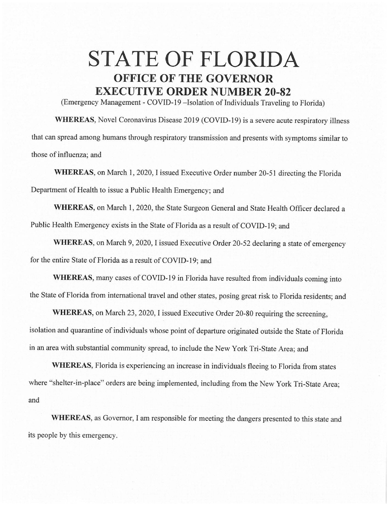## **STATE OF FLORIDA OFFICE OF THE GOVERNOR EXECUTIVE ORDER NUMBER 20-82**

(Emergency Management - COVID-19 - Isolation of Individuals Traveling to Florida)

**WHEREAS,** Novel Coronavirus Disease 2019 (COVID-19) is a severe acute respiratory illness that can spread among humans through respiratory transmission and presents with symptoms similar to those of influenza; and

**WHEREAS,** on March I, 2020, I issued Executive Order number 20-51 directing the Florida Department of Health to issue a Public Health Emergency; and

**WHEREAS,** on March 1, 2020, the State Surgeon General and State Health Officer declared a Public Health Emergency exists in the State of Florida as a result of COVID-19; and

**WHEREAS,** on March 9, 2020, I issued Executive Order 20-52 declaring a state of emergency for the entire State of Florida as a result of COVID-19; and

**WHEREAS,** many cases of COVID-19 in Florida have resulted from individuals coming into the State of Florida from international travel and other states, posing great risk to Florida residents; and

**WHEREAS,** on March 23, 2020, I issued Executive Order 20-80 requiring the screening, isolation and quarantine of individuals whose point of departure originated outside the State of Florida in an area with substantial community spread, to include the New York Tri-State Area; and

**WHEREAS,** Florida is experiencing an increase in individuals fleeing to Florida from states where "shelter-in-place" orders are being implemented, including from the New York Tri-State Area; and

**WHEREAS,** as Governor, I am responsible for meeting the dangers presented to this state and its people by this emergency.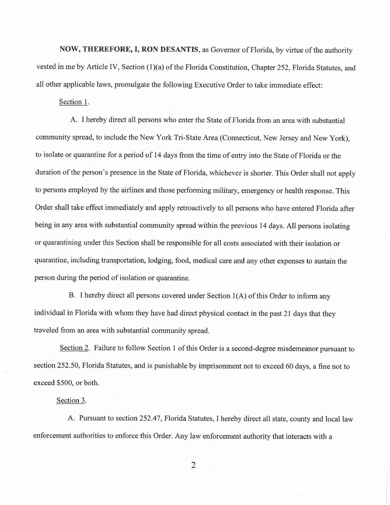**NOW, THEREFORE, I, RON DESANTIS,** as Governor of Florida, by virtue of the authority vested in me by Article IV, Section (1)(a) of the Florida Constitution, Chapter 252, Florida Statutes, and all other applicable laws, promulgate the following Executive Order to take immediate effect:

Section 1.

A. I hereby direct all persons who enter the State of Florida from an area with substantial community spread, to include the New York Tri-State Area (Connecticut, New Jersey and New York), to isolate or quarantine for a period of 14 days from the time of entry into the State of Florida or the duration of the person's presence in the State of Florida, whichever is shorter. This Order shall not apply to persons employed by the airlines and those performing military, emergency or health response. This Order shall take effect immediately and apply retroactively to all persons who have entered Florida after being in any area with substantial community spread within the previous 14 days. All persons isolating or quarantining under this Section shall be responsible for all costs associated with their isolation or quarantine, including transportation, lodging, food, medical care and any other expenses to sustain the person during the period of isolation or quarantine.

B. I hereby direct all persons covered under Section 1(A) of this Order to inform any individual in Florida with whom they have had direct physical contact in the past 21 days that they traveled from an area with substantial community spread.

Section 2. Failure to follow Section 1 of this Order is a second-degree misdemeanor pursuant to section 252.50, Florida Statutes, and is punishable by imprisonment not to exceed 60 days, a fine not to exceed \$500, or both.

## Section 3.

A. Pursuant to section 252.47, Florida Statutes, I hereby direct all state, county and local law enforcement authorities to enforce this Order. Any law enforcement authority that interacts with a

2